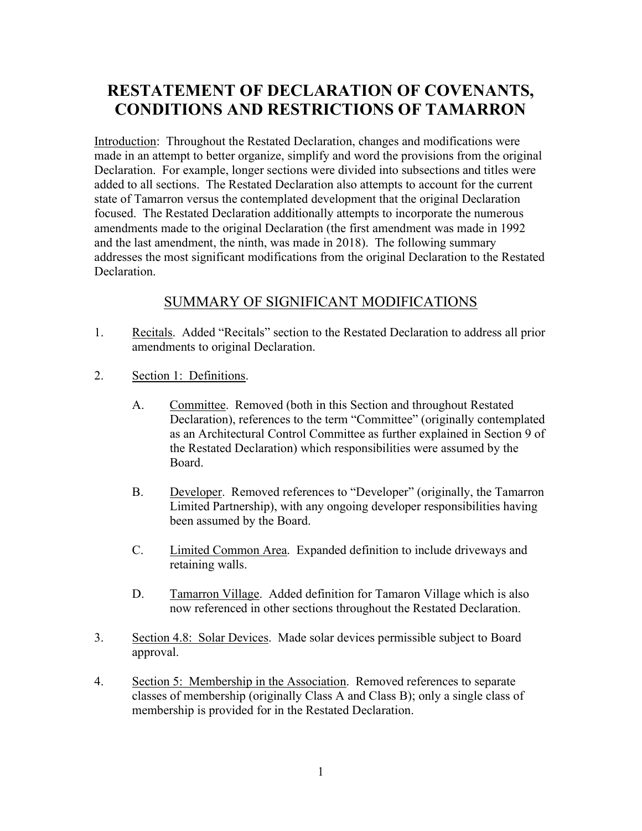## RESTATEMENT OF DECLARATION OF COVENANTS, CONDITIONS AND RESTRICTIONS OF TAMARRON

Introduction: Throughout the Restated Declaration, changes and modifications were made in an attempt to better organize, simplify and word the provisions from the original Declaration. For example, longer sections were divided into subsections and titles were added to all sections. The Restated Declaration also attempts to account for the current state of Tamarron versus the contemplated development that the original Declaration focused. The Restated Declaration additionally attempts to incorporate the numerous amendments made to the original Declaration (the first amendment was made in 1992 and the last amendment, the ninth, was made in 2018). The following summary addresses the most significant modifications from the original Declaration to the Restated Declaration.

## SUMMARY OF SIGNIFICANT MODIFICATIONS

- 1. Recitals. Added "Recitals" section to the Restated Declaration to address all prior amendments to original Declaration.
- 2. Section 1: Definitions.
	- A. Committee. Removed (both in this Section and throughout Restated Declaration), references to the term "Committee" (originally contemplated as an Architectural Control Committee as further explained in Section 9 of the Restated Declaration) which responsibilities were assumed by the Board.
	- B. Developer. Removed references to "Developer" (originally, the Tamarron Limited Partnership), with any ongoing developer responsibilities having been assumed by the Board.
	- C. Limited Common Area. Expanded definition to include driveways and retaining walls.
	- D. Tamarron Village. Added definition for Tamaron Village which is also now referenced in other sections throughout the Restated Declaration.
- 3. Section 4.8: Solar Devices. Made solar devices permissible subject to Board approval.
- 4. Section 5: Membership in the Association. Removed references to separate classes of membership (originally Class A and Class B); only a single class of membership is provided for in the Restated Declaration.